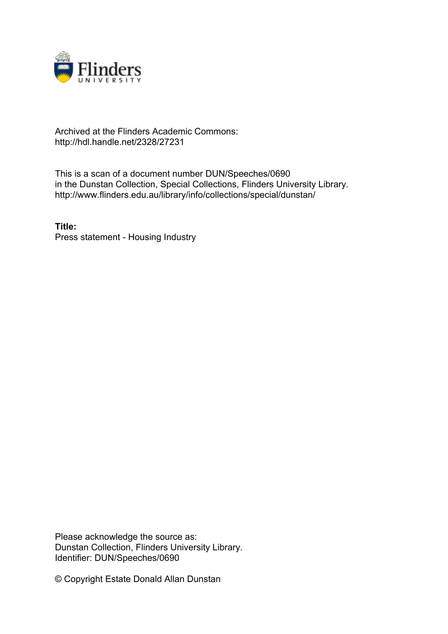

## Archived at the Flinders Academic Commons: http://hdl.handle.net/2328/27231

This is a scan of a document number DUN/Speeches/0690 in the Dunstan Collection, Special Collections, Flinders University Library. http://www.flinders.edu.au/library/info/collections/special/dunstan/

**Title:** Press statement - Housing Industry

Please acknowledge the source as: Dunstan Collection, Flinders University Library. Identifier: DUN/Speeches/0690

© Copyright Estate Donald Allan Dunstan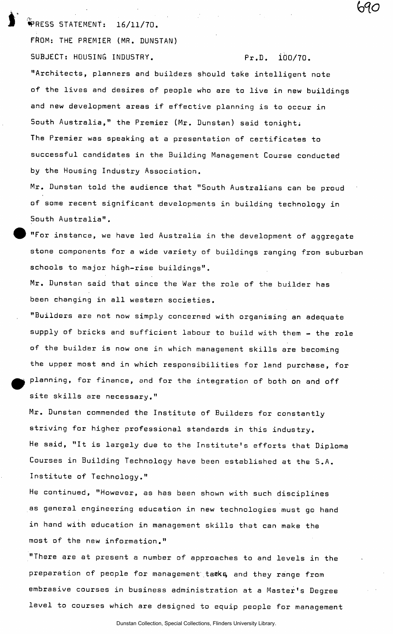•PRESS STATEMENT: 16/11/70. FftOM: THE PREMIER (MR. DUNSTAN) SUBJECT: HOUSING INDUSTRY. Pr.D. iOO/70.

69C

"Architects, planners and builders should take intelligent note of the lives and desires of people who are to live in new buildings and new development areas if effective planning is to occur in South Australia," the Premier (Mr. Dunstan) said tonight; The Premier was speaking at a presentation of certificates to successful candidates in the Building Management Course conducted by the Housing Industry Association.

Mr. Dunstan told the audience that "South Australians can be proud of some recent significant developments in building technology in South Australia".

"For instance, we have led Australia in the development of aggregate stone components for a wide variety of buildings ranging from suburban schools to major high-rise buildings".

Mr. Dunstan said that since the War the role of the builder has been changing in all western societies.

"Builders are not now simply concerned with organising an adequate supply of bricks and sufficient labour to build with them - the role of the builder is now one in which management skills are becoming the upper most and in which responsibilities for land purchase, for planning, for finance, and for the integration of both on and off site skills are necessary."

Mr. Dunstan commended the Institute of Builders for constantly striving for higher professional standards in this industry. He said, "It is largely due to the Institute's efforts that Diploma Courses in Building Technology have been established at the S.A. Institute of Technology."

He continued, "However, as has been shown with such disciplines as general engineering education in new technologies must go hand in hand with education in management skills that can make the most of the new information."

"There are at present a number of approaches to and levels in the preparation of people for management tasks and they range from embrasive courses in business administration at a Master's Degree level to courses which are designed to equip people for management